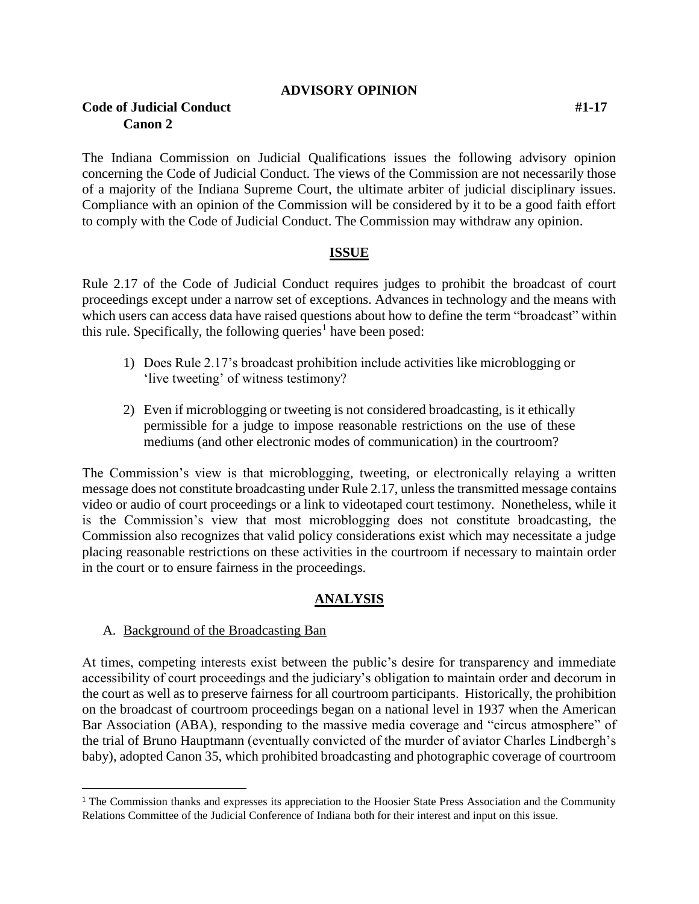#### **ADVISORY OPINION**

# **Code of Judicial Conduct #1-17 Canon 2**

The Indiana Commission on Judicial Qualifications issues the following advisory opinion concerning the Code of Judicial Conduct. The views of the Commission are not necessarily those of a majority of the Indiana Supreme Court, the ultimate arbiter of judicial disciplinary issues. Compliance with an opinion of the Commission will be considered by it to be a good faith effort to comply with the Code of Judicial Conduct. The Commission may withdraw any opinion.

### **ISSUE**

Rule 2.17 of the Code of Judicial Conduct requires judges to prohibit the broadcast of court proceedings except under a narrow set of exceptions. Advances in technology and the means with which users can access data have raised questions about how to define the term "broadcast" within this rule. Specifically, the following queries<sup>1</sup> have been posed:

- 1) Does Rule 2.17's broadcast prohibition include activities like microblogging or 'live tweeting' of witness testimony?
- 2) Even if microblogging or tweeting is not considered broadcasting, is it ethically permissible for a judge to impose reasonable restrictions on the use of these mediums (and other electronic modes of communication) in the courtroom?

The Commission's view is that microblogging, tweeting, or electronically relaying a written message does not constitute broadcasting under Rule 2.17, unless the transmitted message contains video or audio of court proceedings or a link to videotaped court testimony. Nonetheless, while it is the Commission's view that most microblogging does not constitute broadcasting, the Commission also recognizes that valid policy considerations exist which may necessitate a judge placing reasonable restrictions on these activities in the courtroom if necessary to maintain order in the court or to ensure fairness in the proceedings.

### **ANALYSIS**

### A. Background of the Broadcasting Ban

l

At times, competing interests exist between the public's desire for transparency and immediate accessibility of court proceedings and the judiciary's obligation to maintain order and decorum in the court as well as to preserve fairness for all courtroom participants. Historically, the prohibition on the broadcast of courtroom proceedings began on a national level in 1937 when the American Bar Association (ABA), responding to the massive media coverage and "circus atmosphere" of the trial of Bruno Hauptmann (eventually convicted of the murder of aviator Charles Lindbergh's baby), adopted Canon 35, which prohibited broadcasting and photographic coverage of courtroom

<sup>&</sup>lt;sup>1</sup> The Commission thanks and expresses its appreciation to the Hoosier State Press Association and the Community Relations Committee of the Judicial Conference of Indiana both for their interest and input on this issue.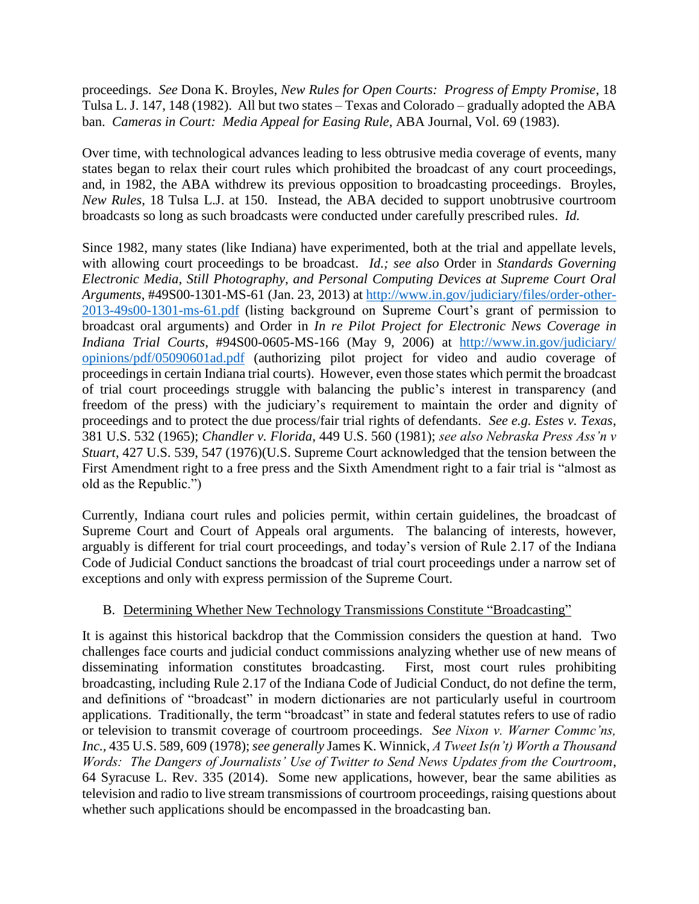proceedings. *See* Dona K. Broyles, *New Rules for Open Courts: Progress of Empty Promise*, 18 Tulsa L. J. 147, 148 (1982). All but two states – Texas and Colorado – gradually adopted the ABA ban. *Cameras in Court: Media Appeal for Easing Rule*, ABA Journal, Vol. 69 (1983).

Over time, with technological advances leading to less obtrusive media coverage of events, many states began to relax their court rules which prohibited the broadcast of any court proceedings, and, in 1982, the ABA withdrew its previous opposition to broadcasting proceedings. Broyles, *New Rules*, 18 Tulsa L.J. at 150. Instead, the ABA decided to support unobtrusive courtroom broadcasts so long as such broadcasts were conducted under carefully prescribed rules. *Id.*

Since 1982, many states (like Indiana) have experimented, both at the trial and appellate levels, with allowing court proceedings to be broadcast. *Id.; see also* Order in *Standards Governing Electronic Media, Still Photography, and Personal Computing Devices at Supreme Court Oral Arguments*, #49S00-1301-MS-61 (Jan. 23, 2013) at [http://www.in.gov/judiciary/files/order-other-](http://www.in.gov/judiciary/files/order-other-2013-49s00-1301-ms-61.pdf)[2013-49s00-1301-ms-61.pdf](http://www.in.gov/judiciary/files/order-other-2013-49s00-1301-ms-61.pdf) (listing background on Supreme Court's grant of permission to broadcast oral arguments) and Order in *In re Pilot Project for Electronic News Coverage in Indiana Trial Courts*, #94S00-0605-MS-166 (May 9, 2006) at [http://www.in.gov/judiciary/](http://www.in.gov/judiciary/opinions/pdf/05090601ad.pdf) [opinions/pdf/05090601ad.pdf](http://www.in.gov/judiciary/opinions/pdf/05090601ad.pdf) (authorizing pilot project for video and audio coverage of proceedings in certain Indiana trial courts). However, even those states which permit the broadcast of trial court proceedings struggle with balancing the public's interest in transparency (and freedom of the press) with the judiciary's requirement to maintain the order and dignity of proceedings and to protect the due process/fair trial rights of defendants. *See e.g. Estes v. Texas*, 381 U.S. 532 (1965); *Chandler v. Florida*, 449 U.S. 560 (1981); *see also Nebraska Press Ass'n v Stuart*, 427 U.S. 539, 547 (1976)(U.S. Supreme Court acknowledged that the tension between the First Amendment right to a free press and the Sixth Amendment right to a fair trial is "almost as old as the Republic.")

Currently, Indiana court rules and policies permit, within certain guidelines, the broadcast of Supreme Court and Court of Appeals oral arguments. The balancing of interests, however, arguably is different for trial court proceedings, and today's version of Rule 2.17 of the Indiana Code of Judicial Conduct sanctions the broadcast of trial court proceedings under a narrow set of exceptions and only with express permission of the Supreme Court.

## B. Determining Whether New Technology Transmissions Constitute "Broadcasting"

It is against this historical backdrop that the Commission considers the question at hand. Two challenges face courts and judicial conduct commissions analyzing whether use of new means of disseminating information constitutes broadcasting. First, most court rules prohibiting broadcasting, including Rule 2.17 of the Indiana Code of Judicial Conduct, do not define the term, and definitions of "broadcast" in modern dictionaries are not particularly useful in courtroom applications. Traditionally, the term "broadcast" in state and federal statutes refers to use of radio or television to transmit coverage of courtroom proceedings. *See Nixon v. Warner Commc'ns, Inc.,* 435 U.S. 589, 609 (1978); *see generally* James K. Winnick, *A Tweet Is(n't) Worth a Thousand Words: The Dangers of Journalists' Use of Twitter to Send News Updates from the Courtroom*, 64 Syracuse L. Rev. 335 (2014). Some new applications, however, bear the same abilities as television and radio to live stream transmissions of courtroom proceedings, raising questions about whether such applications should be encompassed in the broadcasting ban.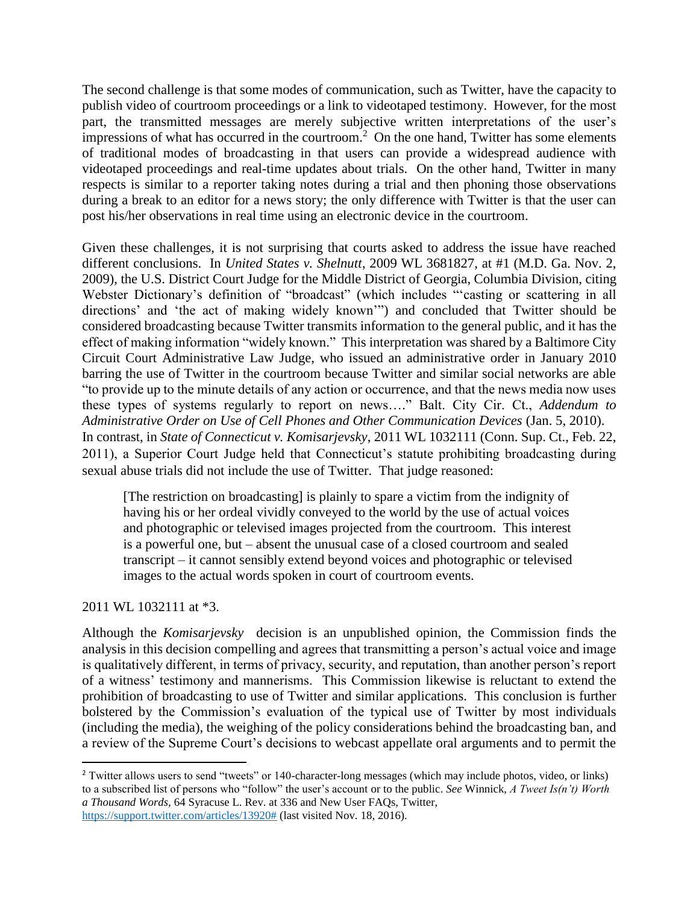The second challenge is that some modes of communication, such as Twitter, have the capacity to publish video of courtroom proceedings or a link to videotaped testimony. However, for the most part, the transmitted messages are merely subjective written interpretations of the user's impressions of what has occurred in the courtroom.<sup>2</sup> On the one hand, Twitter has some elements of traditional modes of broadcasting in that users can provide a widespread audience with videotaped proceedings and real-time updates about trials. On the other hand, Twitter in many respects is similar to a reporter taking notes during a trial and then phoning those observations during a break to an editor for a news story; the only difference with Twitter is that the user can post his/her observations in real time using an electronic device in the courtroom.

Given these challenges, it is not surprising that courts asked to address the issue have reached different conclusions. In *United States v. Shelnutt*, 2009 WL 3681827, at #1 (M.D. Ga. Nov. 2, 2009), the U.S. District Court Judge for the Middle District of Georgia, Columbia Division, citing Webster Dictionary's definition of "broadcast" (which includes "'casting or scattering in all directions' and 'the act of making widely known'") and concluded that Twitter should be considered broadcasting because Twitter transmits information to the general public, and it has the effect of making information "widely known." This interpretation was shared by a Baltimore City Circuit Court Administrative Law Judge, who issued an administrative order in January 2010 barring the use of Twitter in the courtroom because Twitter and similar social networks are able "to provide up to the minute details of any action or occurrence, and that the news media now uses these types of systems regularly to report on news…." Balt. City Cir. Ct., *Addendum to Administrative Order on Use of Cell Phones and Other Communication Devices* (Jan. 5, 2010). In contrast, in *State of Connecticut v. Komisarjevsky*, 2011 WL 1032111 (Conn. Sup. Ct., Feb. 22, 2011), a Superior Court Judge held that Connecticut's statute prohibiting broadcasting during sexual abuse trials did not include the use of Twitter. That judge reasoned:

[The restriction on broadcasting] is plainly to spare a victim from the indignity of having his or her ordeal vividly conveyed to the world by the use of actual voices and photographic or televised images projected from the courtroom. This interest is a powerful one, but – absent the unusual case of a closed courtroom and sealed transcript – it cannot sensibly extend beyond voices and photographic or televised images to the actual words spoken in court of courtroom events.

### 2011 WL 1032111 at \*3.

 $\overline{\phantom{a}}$ 

Although the *Komisarjevsky* decision is an unpublished opinion, the Commission finds the analysis in this decision compelling and agrees that transmitting a person's actual voice and image is qualitatively different, in terms of privacy, security, and reputation, than another person's report of a witness' testimony and mannerisms. This Commission likewise is reluctant to extend the prohibition of broadcasting to use of Twitter and similar applications. This conclusion is further bolstered by the Commission's evaluation of the typical use of Twitter by most individuals (including the media), the weighing of the policy considerations behind the broadcasting ban, and a review of the Supreme Court's decisions to webcast appellate oral arguments and to permit the

<sup>&</sup>lt;sup>2</sup> Twitter allows users to send "tweets" or 140-character-long messages (which may include photos, video, or links) to a subscribed list of persons who "follow" the user's account or to the public. *See* Winnick, *A Tweet Is(n't) Worth a Thousand Words,* 64 Syracuse L. Rev. at 336 and New User FAQs, Twitter, [https://support.twitter.com/articles/13920#](https://support.twitter.com/articles/13920%23) (last visited Nov. 18, 2016).